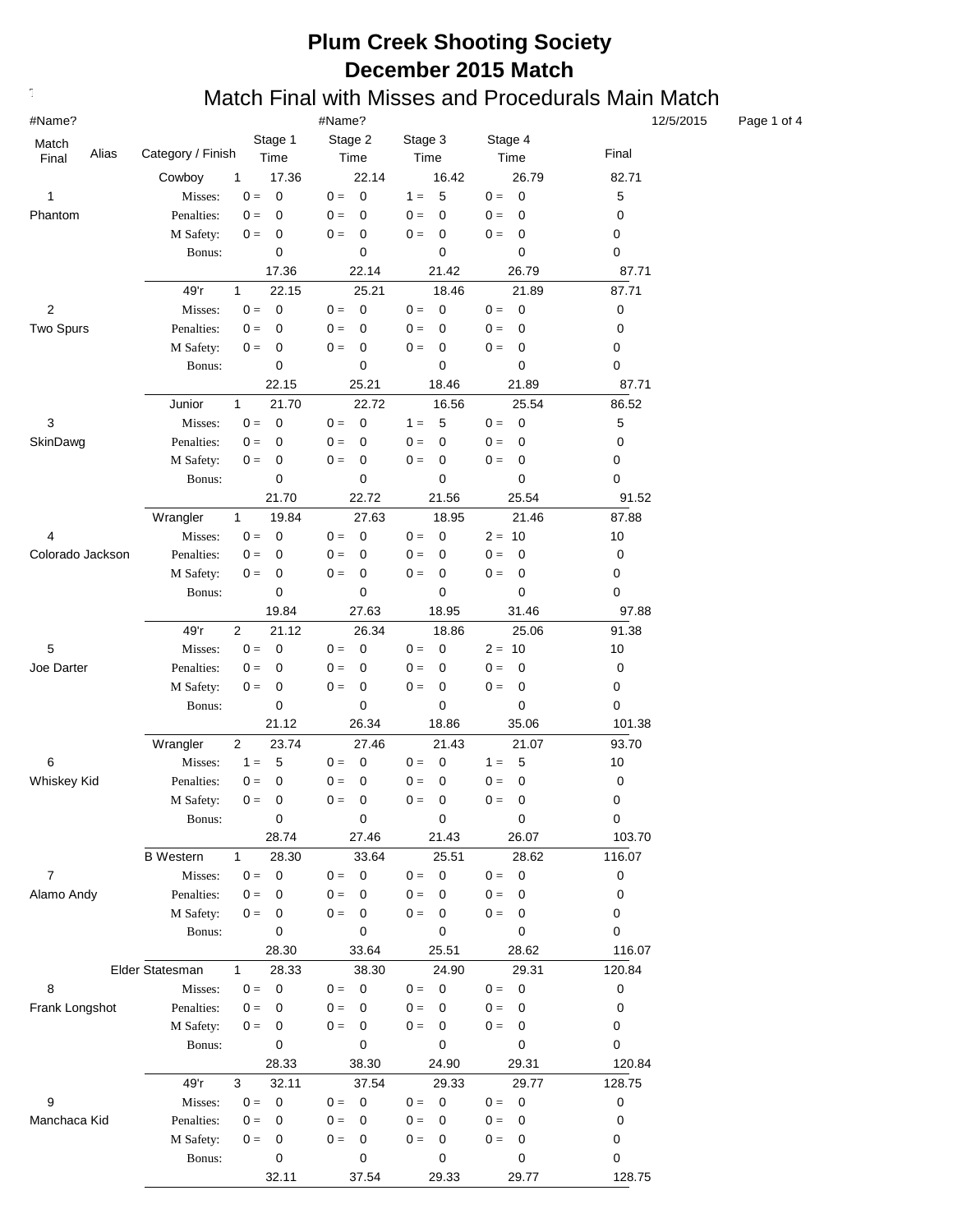#### **Text376: Match Final with Misses and Procedurals Main Match**

| #Name?           |                   | 12/5/2015                     |                         |                                  |                                   |           |
|------------------|-------------------|-------------------------------|-------------------------|----------------------------------|-----------------------------------|-----------|
| Match            |                   | Stage 1                       | Stage 2                 | Stage 3                          | Stage 4                           |           |
| Alias<br>Final   | Category / Finish | Time                          | Time                    | Time                             | Time                              | Final     |
|                  | Cowboy            | $\mathbf{1}$<br>17.36         | 22.14                   | 16.42                            | 26.79                             | 82.71     |
| 1                | Misses:           | $0 =$<br>0                    | $0 =$<br>$\overline{0}$ | 5<br>$1 =$                       | $0 =$<br>$\mathbf 0$              | 5         |
| Phantom          | Penalties:        | $0 =$<br>$\pmb{0}$            | $0 =$<br>$\mathbf 0$    | $\mathbf 0$<br>$0 =$             | $0 =$<br>$\mathbf 0$              | 0         |
|                  | M Safety:         | $0 =$<br>0                    | $0 =$<br>0              | $\mathbf 0$<br>$0 =$             | $\mathbf 0$<br>$0 =$              | 0         |
|                  | Bonus:            | 0                             | 0                       | 0                                | $\pmb{0}$                         | 0         |
|                  |                   | 17.36                         | 22.14                   | 21.42                            | 26.79                             | 87.71     |
|                  | 49'r              | 22.15<br>1                    | 25.21                   | 18.46                            | 21.89                             | 87.71     |
| 2                | Misses:           | $0 =$<br>$\mathbf 0$          | $\mathbf 0$<br>$0 =$    | $\mathbf 0$<br>$0 =$             | $\mathbf 0$<br>$0 =$              | 0         |
| Two Spurs        | Penalties:        | $0 =$<br>0                    | $0 =$<br>0              | $0 =$<br>0                       | $\mathbf 0$<br>$0 =$              | 0         |
|                  | M Safety:         | $0 =$<br>0                    | $0 =$<br>0              | $0 =$<br>0                       | $0 =$<br>0                        | 0         |
|                  | Bonus:            | 0                             | 0                       | 0                                | 0                                 | 0         |
|                  |                   | 22.15                         | 25.21                   | 18.46                            | 21.89                             | 87.71     |
|                  | Junior            | 1<br>21.70                    | 22.72                   | 16.56                            | 25.54                             | 86.52     |
| 3                | Misses:           | $0 =$<br>$\mathbf 0$          | $\mathbf 0$<br>$0 =$    | 5<br>$1 =$                       | $\pmb{0}$<br>$0 =$                | 5         |
| SkinDawg         | Penalties:        | $0 =$<br>0                    | $0 =$<br>0              | $0 =$<br>0                       | $0 =$<br>0                        | 0         |
|                  | M Safety:         | $0 =$<br>0                    | $0 =$<br>0              | 0<br>$0 =$                       | $0 =$<br>0                        | 0         |
|                  | Bonus:            | 0                             | 0                       | 0                                | 0                                 | 0         |
|                  |                   | 21.70                         | 22.72                   | 21.56                            | 25.54                             | 91.52     |
|                  | Wrangler          | $\mathbf{1}$<br>19.84         | 27.63                   | 18.95                            | 21.46                             | 87.88     |
| 4                | Misses:           | $\mathbf 0$<br>$0 =$          | $\mathbf 0$<br>$0 =$    | $\mathbf 0$<br>$0 =$             | $2 = 10$                          | 10        |
| Colorado Jackson | Penalties:        | $0 =$<br>0                    | $0 =$<br>0              | $0 =$<br>0                       | $\mathbf 0$<br>$0 =$              | 0         |
|                  | M Safety:         | $0 =$<br>0                    | $0 =$<br>0              | $\mathbf 0$<br>$0 =$             | $0 =$<br>$\pmb{0}$                | 0         |
|                  | Bonus:            | 0                             | $\pmb{0}$               | 0                                | 0                                 | 0         |
|                  |                   | 19.84                         | 27.63                   | 18.95                            | 31.46                             | 97.88     |
|                  | 49'r              | $\overline{2}$<br>21.12       | 26.34                   | 18.86                            | 25.06                             | 91.38     |
| 5                | Misses:           | $0 =$<br>$\mathbf 0$          | $\mathbf 0$<br>$0 =$    | $\mathbf 0$<br>$0 =$             | 10<br>$2 =$                       | 10        |
| Joe Darter       | Penalties:        | $0 =$<br>0                    | $0 =$<br>0              | $0 =$<br>0                       | $\mathbf 0$<br>$0 =$              | 0         |
|                  | M Safety:         | $0 =$<br>0                    | $0 =$<br>0              | $\mathbf 0$<br>$0 =$             | $\pmb{0}$<br>$0 =$                | 0         |
|                  | Bonus:            | 0                             | $\pmb{0}$               | 0                                | 0                                 | 0         |
|                  |                   | 21.12                         | 26.34                   | 18.86                            | 35.06                             | 101.38    |
|                  | Wrangler          | $\overline{2}$<br>23.74       | 27.46                   | 21.43                            | 21.07                             | 93.70     |
| 6                | Misses:           | 5<br>$1 =$                    | $\overline{0}$<br>$0 =$ | 0<br>$0 =$                       | 5<br>$1 =$                        | 10        |
| Whiskey Kid      | Penalties:        | $0 =$<br>0                    | $0 =$<br>0              | 0<br>$0 =$                       | 0<br>$0 =$                        | 0         |
|                  | M Safety:         | $0 =$<br>0                    | $0 =$<br>0              | $0 =$<br>$\mathbf 0$             | $0 =$<br>0                        | 0         |
|                  | Bonus:            | $\pmb{0}$                     | $\pmb{0}$               | 0                                | 0                                 | $\pmb{0}$ |
|                  |                   | 28.74                         | 27.46                   | 21.43                            | 26.07                             | 103.70    |
|                  | <b>B</b> Western  | $\mathbf{1}$<br>28.30         | 33.64                   | 25.51                            | 28.62                             | 116.07    |
| $\overline{7}$   | Misses:           | $\mathbf{0} =$<br>$\mathbf 0$ | $0 = 0$                 | $0 =$<br>$\overline{\mathbf{0}}$ | $\overline{\phantom{0}}$<br>$0 =$ | $\pmb{0}$ |
| Alamo Andy       | Penalties:        | $0 =$<br>0                    | $0 =$<br>0              | $0 =$<br>$\mathbf 0$             | $0 =$<br>0                        | 0         |
|                  | M Safety:         | $0 =$<br>0                    | $0 = 0$                 | $0 =$<br>0                       | $0 =$<br>$\overline{\mathbf{0}}$  | 0         |
|                  | Bonus:            | $\pmb{0}$                     | 0                       | 0                                | $\mathbf 0$                       | 0         |
|                  |                   | 28.30                         | 33.64                   | 25.51                            | 28.62                             | 116.07    |
|                  | Elder Statesman   | $\mathbf{1}$<br>28.33         | 38.30                   | 24.90                            | 29.31                             | 120.84    |
| 8                | Misses:           | $\mathbf{0} =$<br>$\mathbf 0$ | $0 = 0$                 | $0 = 0$                          | $0 = 0$                           | $\pmb{0}$ |
| Frank Longshot   | Penalties:        | $0 =$<br>0                    | $0 =$<br>0              | $0 =$<br>0                       | $0 =$<br>0                        | 0         |
|                  | M Safety:         | $0 =$<br>0                    | $0 = 0$                 | $0 =$<br>$\mathbf 0$             | $0 =$<br>0                        | 0         |
|                  | Bonus:            | $\pmb{0}$                     | 0                       | 0                                | $\mathbf 0$                       | 0         |
|                  |                   | 28.33                         | 38.30                   | 24.90                            | 29.31                             | 120.84    |
|                  | 49'r              | 32.11<br>3                    | 37.54                   | 29.33                            | 29.77                             | 128.75    |
| 9                | Misses:           | $0 =$<br>$\mathbf 0$          | $0 = 0$                 | $0 = 0$                          | $\overline{\phantom{0}}$<br>$0 =$ | 0         |
| Manchaca Kid     | Penalties:        | $\mathbf{0} =$<br>0           | $0 =$<br>0              | $0 =$<br>$\mathbf 0$             | $0 =$<br>0                        | 0         |
|                  | M Safety:         | $0 =$<br>0                    | $0 =$<br>$\overline{0}$ | $0 =$<br>0                       | $0 =$<br>0                        | 0         |
|                  | Bonus:            | 0                             | 0                       | 0                                | $\mathbf 0$                       | 0         |
|                  |                   | 32.11                         | 37.54                   | 29.33                            | 29.77                             | 128.75    |

Page 1 of 4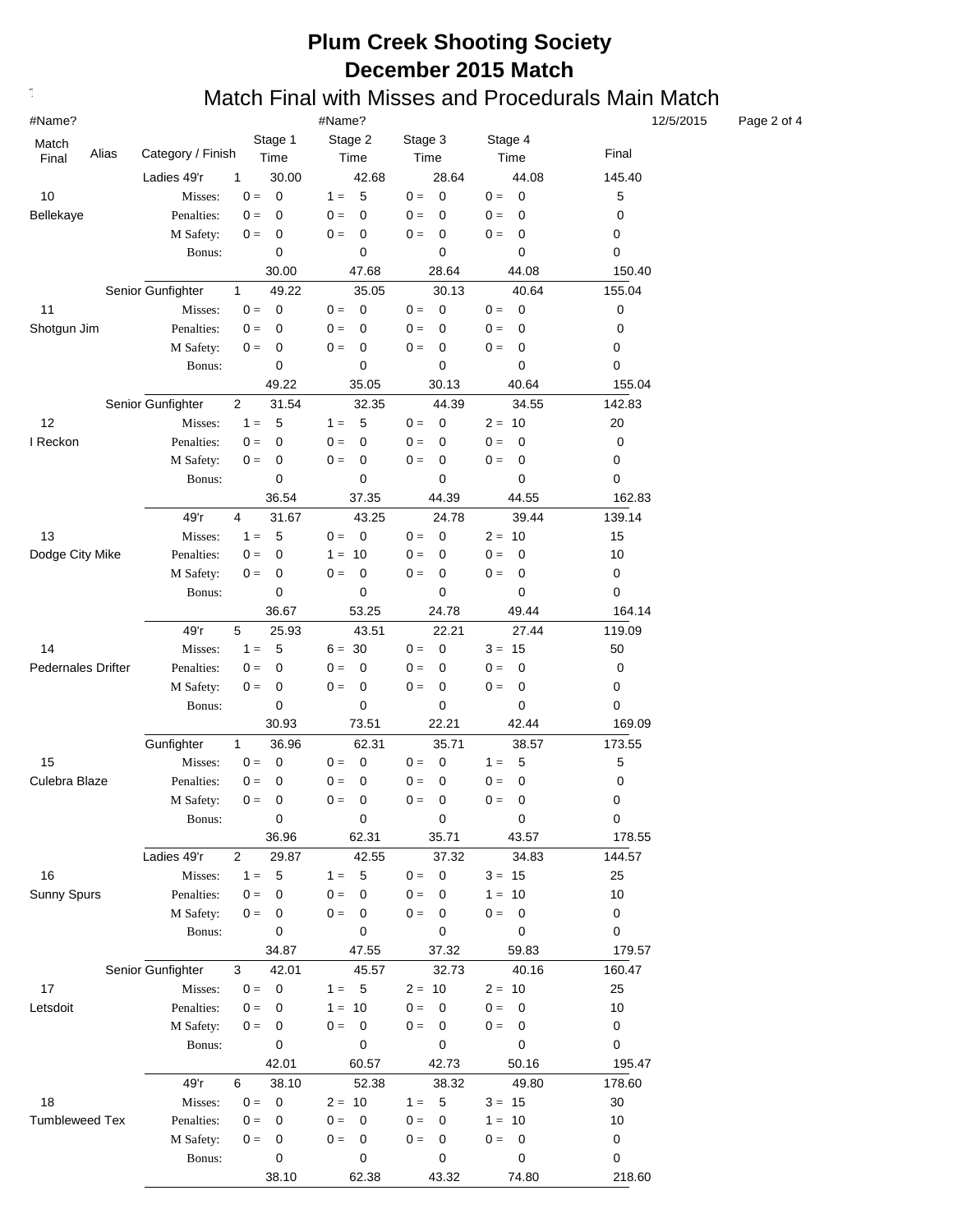#### **Text376: Match Final with Misses and Procedurals Main Match**

| #Name?<br>#Name?<br>12/5/2015 |                              |                                       |                                             |                               |                                  |             |  |
|-------------------------------|------------------------------|---------------------------------------|---------------------------------------------|-------------------------------|----------------------------------|-------------|--|
| Match                         |                              | Stage 1                               | Stage 2                                     | Stage 3                       | Stage 4                          |             |  |
| Alias<br>Final                | Category / Finish            | Time                                  | Time                                        | Time                          | Time                             | Final       |  |
|                               | Ladies 49'r                  | 30.00<br>$\mathbf{1}$                 | 42.68                                       | 28.64                         | 44.08                            | 145.40      |  |
| 10                            | Misses:                      | $0 =$<br>$\mathbf 0$                  | 5<br>$1 =$                                  | $\mathbf 0$<br>$0 =$          | $0 =$<br>$\mathbf 0$             | $\mathbf 5$ |  |
| Bellekaye                     | Penalties:                   | $0 =$<br>$\mathbf 0$                  | $0 =$<br>$\mathbf 0$                        | $\Omega$<br>$0 =$             | $0 =$<br>0                       | 0           |  |
|                               | M Safety:                    | $0 =$<br>0                            | $\mathbf 0$<br>$0 =$                        | $\mathbf 0$<br>$0 =$          | $0 =$<br>0                       | 0           |  |
|                               | Bonus:                       | 0                                     | $\pmb{0}$                                   | 0                             | $\mathbf 0$                      | 0           |  |
|                               |                              | 30.00                                 | 47.68                                       | 28.64                         | 44.08                            | 150.40      |  |
|                               | Senior Gunfighter            | 49.22<br>1                            | 35.05                                       | 30.13                         | 40.64                            | 155.04      |  |
| 11                            | Misses:                      | $0 =$<br>$\mathbf 0$                  | $\mathbf 0$<br>$0 =$                        | $\mathbf 0$<br>$0 =$          | $\mathbf 0$<br>$0 =$             | 0           |  |
| Shotgun Jim                   | Penalties:                   | $0 =$<br>0                            | $0 =$<br>0                                  | $0 =$<br>0                    | $0 =$<br>$\mathbf 0$             | 0           |  |
|                               | M Safety:                    | $0 =$<br>0                            | $0 =$<br>0                                  | $0 =$<br>0                    | $0 =$<br>$\mathbf 0$             | 0           |  |
|                               | Bonus:                       | 0                                     | 0                                           | 0                             | 0                                | 0           |  |
|                               |                              | 49.22                                 | 35.05                                       | 30.13                         | 40.64                            | 155.04      |  |
|                               | Senior Gunfighter            | 2<br>31.54                            | 32.35                                       | 44.39                         | 34.55                            | 142.83      |  |
| 12                            | Misses:                      | $1 =$<br>5                            | 5<br>$1 =$                                  | $\mathbf 0$<br>$0 =$          | $2 = 10$                         | 20          |  |
| I Reckon                      | Penalties:                   | $0 =$<br>0                            | $0 =$<br>0                                  | $0 =$<br>$\Omega$             | $0 =$<br>$\mathbf 0$             | 0           |  |
|                               | M Safety:                    | $0 =$<br>0                            | $0 =$<br>0                                  | 0<br>$0 =$                    | $0 =$<br>$\mathbf 0$             | 0           |  |
|                               | Bonus:                       | 0                                     | 0                                           | 0                             | 0                                | 0           |  |
|                               |                              | 36.54                                 | 37.35                                       | 44.39                         | 44.55                            | 162.83      |  |
|                               | 49'r                         | 4<br>31.67                            | 43.25                                       | 24.78                         | 39.44                            | 139.14      |  |
| 13                            | Misses:                      | $1 =$<br>5                            | $\overline{\mathbf{0}}$<br>$0 =$            | $\mathbf 0$<br>$0 =$          | $2 = 10$                         | 15          |  |
| Dodge City Mike               | Penalties:                   | $0 =$<br>0                            | $1 = 10$                                    | $0 =$<br>0                    | $0 =$<br>0                       | 10          |  |
|                               | M Safety:                    | 0<br>$0 =$                            | $0 =$<br>0                                  | 0<br>$0 =$                    | $0 =$<br>0                       | $\pmb{0}$   |  |
|                               | Bonus:                       | 0                                     | 0                                           | 0                             | 0                                | 0           |  |
|                               |                              | 36.67                                 | 53.25                                       | 24.78                         | 49.44                            | 164.14      |  |
|                               | 49'r                         | 5<br>25.93                            | 43.51                                       | 22.21                         | 27.44                            | 119.09      |  |
| 14                            | Misses:                      | 5<br>$1 =$                            | $6 = 30$                                    | $\mathbf 0$<br>$0 =$          | $3 = 15$                         | 50          |  |
| <b>Pedernales Drifter</b>     | Penalties:                   | $0 =$<br>0                            | $0 =$<br>0                                  | $\mathbf 0$<br>$0 =$          | $\mathbf 0$<br>$0 =$             | $\pmb{0}$   |  |
|                               | M Safety:                    | $0 =$<br>0                            | $\mathbf 0$<br>$0 =$                        | $\mathbf 0$<br>$0 =$          | $\mathbf 0$<br>$0 =$             | 0           |  |
|                               | Bonus:                       | 0                                     | 0                                           | 0                             | 0                                | 0           |  |
|                               |                              | 30.93                                 | 73.51                                       | 22.21                         | 42.44                            | 169.09      |  |
|                               | Gunfighter                   | $\mathbf{1}$<br>36.96                 | 62.31                                       | 35.71                         | 38.57                            | 173.55      |  |
| 15                            | Misses:                      | $0 =$<br>0                            | 0<br>$0 =$                                  | 0<br>$0 =$                    | 5<br>$1 =$                       | $\mathbf 5$ |  |
| Culebra Blaze                 |                              |                                       |                                             |                               |                                  |             |  |
|                               | Penalties:                   | $0 =$<br>0                            | $0 =$<br>0                                  | $0 =$<br>0                    | 0<br>$0 =$                       | 0           |  |
|                               | M Safety:                    | $0 =$<br>0<br>$\pmb{0}$               | $0 =$<br>$\mathbf 0$                        | $0 =$<br>0                    | 0<br>$0 =$                       | 0           |  |
|                               | Bonus:                       | 36.96                                 | $\pmb{0}$<br>62.31                          | $\pmb{0}$<br>35.71            | 0<br>43.57                       | 0<br>178.55 |  |
|                               |                              |                                       |                                             |                               |                                  |             |  |
| 16                            | Ladies 49'r                  | $\overline{2}$<br>29.87<br>$1 =$<br>5 | 42.55                                       | 37.32<br>$0 =$<br>$\mathbf 0$ | 34.83                            | 144.57      |  |
| Sunny Spurs                   | Misses:                      | $0 =$<br>$\mathbf 0$                  | $\sqrt{5}$<br>$1 =$<br>$0 =$<br>$\mathbf 0$ | 0                             | $3 = 15$<br>$1 = 10$             | 25          |  |
|                               | Penalties:                   | $0 =$<br>0                            | $0 = 0$                                     | $0 =$<br>$0 =$<br>0           | $0 =$<br>$\overline{\mathbf{0}}$ | 10<br>0     |  |
|                               | M Safety:<br>Bonus:          | 0                                     | $\pmb{0}$                                   | 0                             | $\mathbf 0$                      | 0           |  |
|                               |                              | 34.87                                 | 47.55                                       | 37.32                         | 59.83                            | 179.57      |  |
|                               |                              |                                       |                                             | 32.73                         | 40.16                            | 160.47      |  |
| 17                            | Senior Gunfighter<br>Misses: | 42.01<br>3<br>$0 =$<br>$\mathbf 0$    | 45.57<br>$1 = 5$                            | $2 = 10$                      | $2 = 10$                         | 25          |  |
| Letsdoit                      |                              | $0 =$<br>0                            |                                             | $0 =$<br>0                    | $0 =$<br>$\mathbf 0$             |             |  |
|                               | Penalties:                   | $0 =$<br>0                            | $1 = 10$<br>$0 = 0$                         | $0 =$<br>0                    | $0 =$<br>0                       | 10<br>0     |  |
|                               | M Safety:<br>Bonus:          | $\mathbf 0$                           | $\mathbf 0$                                 | 0                             | $\mathbf 0$                      | 0           |  |
|                               |                              | 42.01                                 | 60.57                                       | 42.73                         | 50.16                            | 195.47      |  |
|                               |                              |                                       |                                             |                               |                                  |             |  |
|                               | 49'r                         | 6<br>38.10                            | 52.38                                       | 38.32                         | 49.80                            | 178.60      |  |
| 18                            | Misses:                      | $0 =$<br>$\mathbf 0$                  | $2 = 10$                                    | $1 =$<br>5                    | $3 = 15$                         | 30          |  |
| <b>Tumbleweed Tex</b>         | Penalties:                   | $0 =$<br>0                            | $\mathbf{0} =$<br>$\mathbf 0$               | $0 =$<br>0                    | $1 = 10$                         | 10          |  |
|                               | M Safety:                    | $0 =$<br>0                            | $0 =$<br>$\overline{\mathbf{0}}$            | $0 =$<br>0                    | $0 =$<br>$\overline{\mathbf{0}}$ | 0           |  |
|                               | Bonus:                       | 0                                     | 0                                           | 0                             | $\mathbf 0$                      | 0           |  |
|                               |                              | 38.10                                 | 62.38                                       | 43.32                         | 74.80                            | 218.60      |  |

Page 2 of 4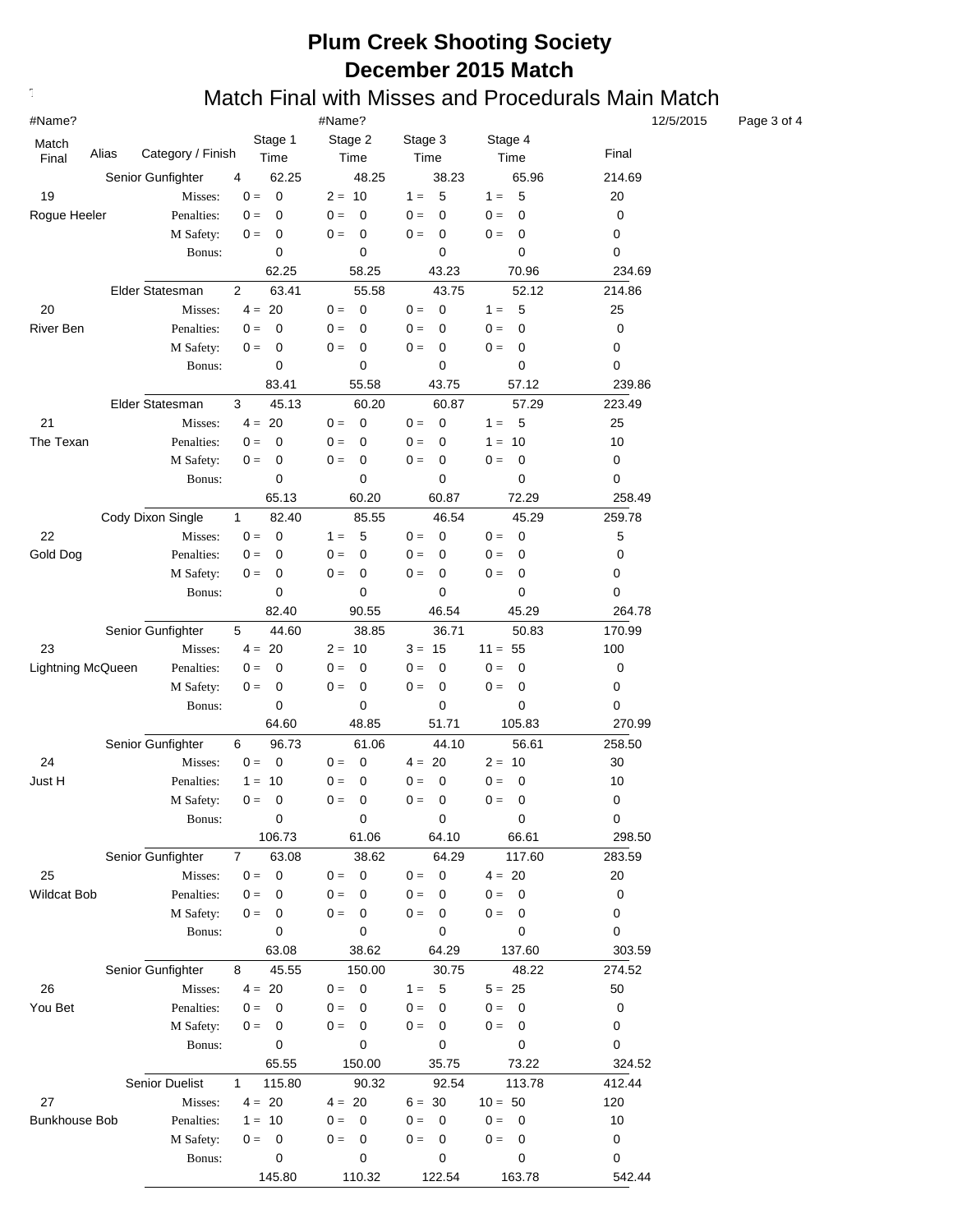#### **Text376: Match Final with Misses and Procedurals Main Match**

| #Name?               |                   |                                                 | #Name?                           | 12/5/2015                |                      |        |
|----------------------|-------------------|-------------------------------------------------|----------------------------------|--------------------------|----------------------|--------|
| Match                |                   | Stage 1                                         | Stage 2                          | Stage 3                  | Stage 4              |        |
| Alias<br>Final       | Category / Finish | Time                                            | Time                             | Time                     | Time                 | Final  |
|                      | Senior Gunfighter | 62.25<br>4                                      | 48.25                            | 38.23                    | 65.96                | 214.69 |
| 19                   | Misses:           | $0 =$<br>0                                      | $2 = 10$                         | 5<br>$1 =$               | 5<br>$1 =$           | 20     |
| Rogue Heeler         | Penalties:        | $0 =$<br>0                                      | $0 =$<br>$\Omega$                | $0 =$<br>$\Omega$        | $0 =$<br>0           | 0      |
|                      | M Safety:         | $0 =$<br>0                                      | 0<br>$0 =$                       | 0<br>$0 =$               | 0<br>$0 =$           | 0      |
|                      | Bonus:            | 0                                               | 0                                | 0                        | 0                    | 0      |
|                      |                   | 62.25                                           | 58.25                            | 43.23                    | 70.96                | 234.69 |
|                      | Elder Statesman   | 63.41<br>$\overline{2}$                         | 55.58                            | 43.75                    | 52.12                | 214.86 |
| 20                   | Misses:           | $4 = 20$                                        | $\mathbf 0$<br>$0 =$             | $\mathbf 0$<br>$0 =$     | 5<br>$1 =$           | 25     |
| River Ben            | Penalties:        | $0 =$<br>0                                      | 0<br>$0 =$                       | $0 =$<br>0               | 0<br>$0 =$           | 0      |
|                      | M Safety:         | $0 =$<br>0                                      | 0<br>$0 =$                       | 0<br>$0 =$               | $\mathbf 0$<br>$0 =$ | 0      |
|                      | Bonus:            | 0                                               | 0                                | 0                        | 0                    | 0      |
|                      |                   | 83.41                                           | 55.58                            | 43.75                    | 57.12                | 239.86 |
|                      | Elder Statesman   | 45.13<br>3                                      | 60.20                            | 60.87                    | 57.29                | 223.49 |
| 21                   | Misses:           | $4 = 20$                                        | $\mathbf 0$<br>$0 =$             | 0<br>$0 =$               | $-5$<br>$1 =$        | 25     |
| The Texan            | Penalties:        | 0<br>$0 =$                                      | $0 =$<br>0                       | $0 =$<br>0               | $1 = 10$             | 10     |
|                      | M Safety:         | 0<br>$0 =$                                      | 0<br>$0 =$                       | $0 =$<br>0               | $\mathbf 0$<br>$0 =$ | 0      |
|                      | Bonus:            | 0                                               | 0                                | 0                        | 0                    | 0      |
|                      |                   | 65.13                                           | 60.20                            | 60.87                    | 72.29                | 258.49 |
|                      | Cody Dixon Single | $\mathbf{1}$<br>82.40                           | 85.55                            | 46.54                    | 45.29                | 259.78 |
| 22                   | Misses:           | $0 =$<br>0                                      | 5<br>$1 =$                       | 0<br>$0 =$               | 0<br>$0 =$           | 5      |
| Gold Dog             | Penalties:        | $0 =$<br>0                                      | $0 =$<br>0                       | $0 =$<br>0               | 0<br>$0 =$           | 0      |
|                      | M Safety:         | $0 =$<br>0                                      | $0 =$<br>0                       | $0 =$<br>0               | 0<br>$0 =$           | 0      |
|                      | Bonus:            | 0                                               | 0                                | 0                        | 0                    | 0      |
|                      |                   | 82.40                                           | 90.55                            | 46.54                    | 45.29                | 264.78 |
|                      | Senior Gunfighter | 5<br>44.60                                      | 38.85                            | 36.71                    | 50.83                | 170.99 |
| 23                   | Misses:           | $4 =$<br>20                                     | $2 = 10$                         | $3 = 15$                 | $11 = 55$            | 100    |
| Lightning McQueen    | Penalties:        | $0 =$<br>0                                      | $0 =$<br>0                       | 0<br>$0 =$               | $0 =$<br>$\mathbf 0$ | 0      |
|                      | M Safety:         | $0 =$<br>0                                      | $0 =$<br>0                       | $0 =$<br>$\mathbf 0$     | $0 =$<br>$\mathbf 0$ | 0      |
|                      | Bonus:            | 0                                               | 0                                | 0                        | 0                    | 0      |
|                      |                   | 64.60                                           | 48.85                            | 51.71                    | 105.83               | 270.99 |
|                      | Senior Gunfighter | 6<br>96.73                                      | 61.06                            | 44.10                    | 56.61                | 258.50 |
| 24                   | Misses:           | $0 =$<br>0                                      | $\mathbf 0$<br>$0 =$             | $4 = 20$                 | $2 =$<br>10          | 30     |
| Just H               | Penalties:        | 10<br>$1 =$                                     | 0<br>$0 =$                       | 0<br>$0 =$               | $\mathbf 0$<br>$0 =$ | 10     |
|                      | M Safety:         | $0 =$<br>0                                      | 0<br>$0 =$                       | 0<br>$0 =$               | 0<br>$0 =$           | 0      |
|                      | Bonus:            | 0                                               | 0                                | 0                        | 0                    | 0      |
|                      |                   | 106.73                                          | 61.06                            | 64.10                    | 66.61                | 298.50 |
|                      | Senior Gunfighter |                                                 |                                  |                          |                      |        |
| 25                   | Misses:           | 63.08<br>$\overline{7}$<br>$0 =$<br>$\mathbf 0$ | 38.62<br>$\overline{0}$          | 64.29                    | 117.60<br>$4 = 20$   | 283.59 |
|                      | Penalties:        | $0 =$<br>0                                      | $0 =$<br>$0 =$<br>$\Omega$       | $0 =$<br>0<br>$0 =$<br>0 | $0 =$<br>$\mathbf 0$ | 20     |
| Wildcat Bob          | M Safety:         | $0 =$<br>0                                      | $0 =$<br>$\overline{0}$          | $0 =$<br>0               | $0 =$<br>$\mathbf 0$ | 0      |
|                      | Bonus:            | 0                                               | 0                                | 0                        | $\mathbf 0$          | 0<br>0 |
|                      |                   | 63.08                                           | 38.62                            | 64.29                    | 137.60               | 303.59 |
|                      |                   |                                                 |                                  |                          |                      |        |
|                      | Senior Gunfighter | 45.55<br>8                                      | 150.00<br>$0 = 0$                | 30.75<br>5               | 48.22                | 274.52 |
| 26                   | Misses:           | $4 = 20$<br>$0 =$                               | 0                                | $1 =$<br>$0 =$           | $5 = 25$             | 50     |
| You Bet              | Penalties:        | 0                                               | $0 =$                            | 0                        | $0 =$<br>0           | 0      |
|                      | M Safety:         | $0 =$<br>0                                      | $0 =$<br>0<br>0                  | 0<br>$0 =$<br>0          | 0<br>$0 =$<br>0      | 0      |
|                      | Bonus:            | 0                                               |                                  |                          |                      | 0      |
|                      |                   | 65.55                                           | 150.00                           | 35.75                    | 73.22                | 324.52 |
|                      | Senior Duelist    | $\mathbf{1}$<br>115.80                          | 90.32                            | 92.54                    | 113.78               | 412.44 |
| 27                   | Misses:           | $4 = 20$                                        | $4 = 20$                         | $6 = 30$                 | $10 = 50$            | 120    |
| <b>Bunkhouse Bob</b> | Penalties:        | $1 = 10$                                        | $0 =$<br>$\overline{\mathbf{0}}$ | $0 =$<br>0               | $0 =$<br>$\mathbf 0$ | 10     |
|                      | M Safety:         | $0 =$<br>0                                      | 0<br>$0 =$                       | 0<br>$0 =$               | 0<br>$0 =$           | 0      |
|                      | Bonus:            | 0                                               | 0                                | 0                        | 0                    | 0      |
|                      |                   | 145.80                                          | 110.32                           | 122.54                   | 163.78               | 542.44 |

Page 3 of 4